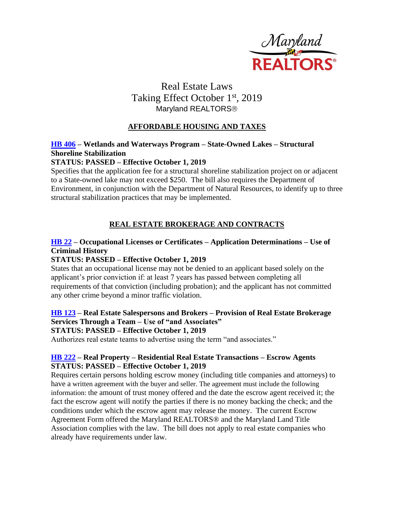

# Real Estate Laws Taking Effect October 1st, 2019 Maryland REALTORS<sup>®</sup>

## **AFFORDABLE HOUSING AND TAXES**

### **[HB 406](http://mgaleg.maryland.gov/webmga/frmMain.aspx?id=hb0406&stab=01&pid=billpage&tab=subject3&ys=2019RS) – Wetlands and Waterways Program – State-Owned Lakes – Structural Shoreline Stabilization**

### **STATUS: PASSED – Effective October 1, 2019**

Specifies that the application fee for a structural shoreline stabilization project on or adjacent to a State-owned lake may not exceed \$250. The bill also requires the Department of Environment, in conjunction with the Department of Natural Resources, to identify up to three structural stabilization practices that may be implemented.

## **REAL ESTATE BROKERAGE AND CONTRACTS**

## **[HB 22](http://mgaleg.maryland.gov/webmga/frmMain.aspx?id=hb0022&stab=01&pid=billpage&tab=subject3&ys=2019RS) – Occupational Licenses or Certificates – Application Determinations – Use of Criminal History**

### **STATUS: PASSED – Effective October 1, 2019**

States that an occupational license may not be denied to an applicant based solely on the applicant's prior conviction if: at least 7 years has passed between completing all requirements of that conviction (including probation); and the applicant has not committed any other crime beyond a minor traffic violation.

## **[HB 123](http://mgaleg.maryland.gov/webmga/frmMain.aspx?id=hb0123&stab=01&pid=billpage&tab=subject3&ys=2019RS) – Real Estate Salespersons and Brokers – Provision of Real Estate Brokerage Services Through a Team – Use of "and Associates"**

### **STATUS: PASSED – Effective October 1, 2019**

Authorizes real estate teams to advertise using the term "and associates."

### **[HB 222](http://mgaleg.maryland.gov/webmga/frmMain.aspx?id=hb0222&stab=01&pid=billpage&tab=subject3&ys=2019RS) – Real Property – Residential Real Estate Transactions – Escrow Agents STATUS: PASSED – Effective October 1, 2019**

Requires certain persons holding escrow money (including title companies and attorneys) to have a written agreement with the buyer and seller. The agreement must include the following information: the amount of trust money offered and the date the escrow agent received it; the fact the escrow agent will notify the parties if there is no money backing the check; and the conditions under which the escrow agent may release the money. The current Escrow Agreement Form offered the Maryland REALTORS® and the Maryland Land Title Association complies with the law. The bill does not apply to real estate companies who already have requirements under law.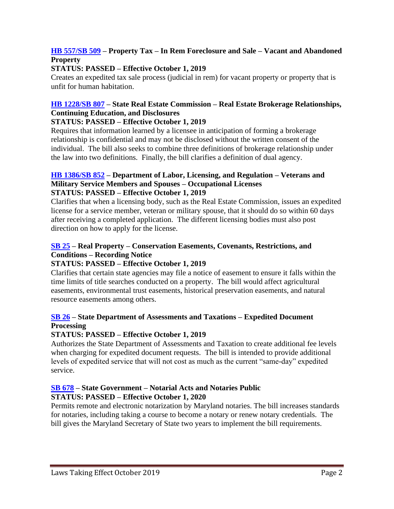## **[HB 557/SB 509](http://mgaleg.maryland.gov/webmga/frmMain.aspx?id=sb0509&stab=01&pid=billpage&tab=subject3&ys=2019RS) – Property Tax – In Rem Foreclosure and Sale – Vacant and Abandoned Property**

### **STATUS: PASSED – Effective October 1, 2019**

Creates an expedited tax sale process (judicial in rem) for vacant property or property that is unfit for human habitation.

# **[HB 1228/SB 807](http://mgaleg.maryland.gov/webmga/frmMain.aspx?id=hb1228&stab=01&pid=billpage&tab=subject3&ys=2019RS) – State Real Estate Commission – Real Estate Brokerage Relationships, Continuing Education, and Disclosures**

### **STATUS: PASSED – Effective October 1, 2019**

Requires that information learned by a licensee in anticipation of forming a brokerage relationship is confidential and may not be disclosed without the written consent of the individual. The bill also seeks to combine three definitions of brokerage relationship under the law into two definitions. Finally, the bill clarifies a definition of dual agency.

#### **[HB 1386/SB 852](http://mgaleg.maryland.gov/webmga/frmMain.aspx?id=sb0852&stab=01&pid=billpage&tab=subject3&ys=2019RS) – Department of Labor, Licensing, and Regulation – Veterans and Military Service Members and Spouses – Occupational Licenses STATUS: PASSED – Effective October 1, 2019**

Clarifies that when a licensing body, such as the Real Estate Commission, issues an expedited license for a service member, veteran or military spouse, that it should do so within 60 days after receiving a completed application. The different licensing bodies must also post direction on how to apply for the license.

## **[SB 25](http://mgaleg.maryland.gov/webmga/frmMain.aspx?id=sb0025&stab=01&pid=billpage&tab=subject3&ys=2019RS) – Real Property – Conservation Easements, Covenants, Restrictions, and Conditions – Recording Notice**

## **STATUS: PASSED – Effective October 1, 2019**

Clarifies that certain state agencies may file a notice of easement to ensure it falls within the time limits of title searches conducted on a property. The bill would affect agricultural easements, environmental trust easements, historical preservation easements, and natural resource easements among others.

## **[SB 26](http://mgaleg.maryland.gov/webmga/frmMain.aspx?id=sb0026&stab=01&pid=billpage&tab=subject3&ys=2019RS) – State Department of Assessments and Taxations – Expedited Document Processing**

## **STATUS: PASSED – Effective October 1, 2019**

Authorizes the State Department of Assessments and Taxation to create additional fee levels when charging for expedited document requests. The bill is intended to provide additional levels of expedited service that will not cost as much as the current "same-day" expedited service.

### **[SB 678](http://mgaleg.maryland.gov/webmga/frmMain.aspx?id=sb0678&stab=01&pid=billpage&tab=subject3&ys=2019RS) – State Government – Notarial Acts and Notaries Public STATUS: PASSED – Effective October 1, 2020**

Permits remote and electronic notarization by Maryland notaries. The bill increases standards for notaries, including taking a course to become a notary or renew notary credentials. The bill gives the Maryland Secretary of State two years to implement the bill requirements.